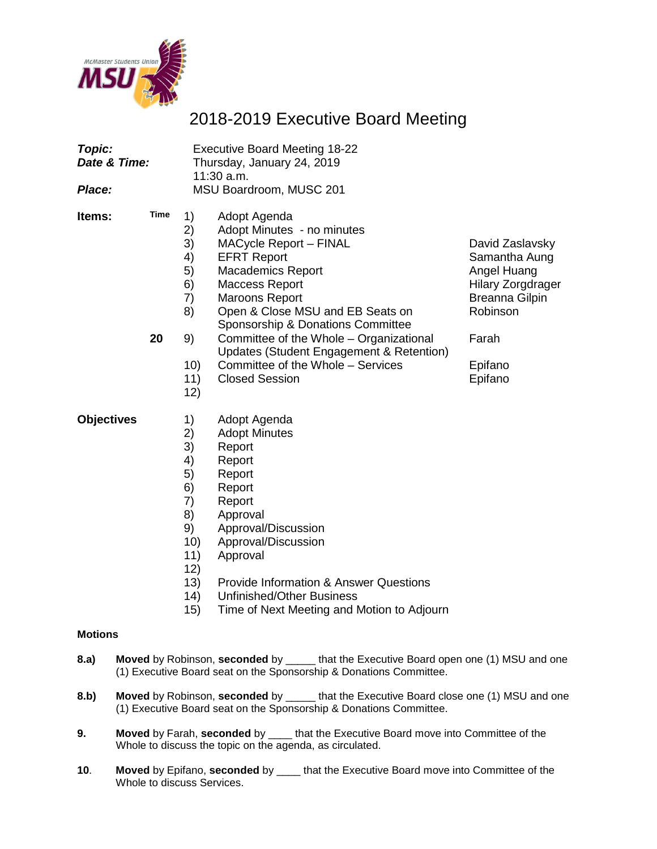

# 2018-2019 Executive Board Meeting

| Topic:<br>Date & Time:<br>Place: |            | <b>Executive Board Meeting 18-22</b><br>Thursday, January 24, 2019<br>11:30 a.m.<br>MSU Boardroom, MUSC 201 |                                                                                                                                                                                                                                                                                                                                                                                                        |                                                                                                                                                 |  |  |
|----------------------------------|------------|-------------------------------------------------------------------------------------------------------------|--------------------------------------------------------------------------------------------------------------------------------------------------------------------------------------------------------------------------------------------------------------------------------------------------------------------------------------------------------------------------------------------------------|-------------------------------------------------------------------------------------------------------------------------------------------------|--|--|
| Items:                           | Time<br>20 | 1)<br>2)<br>3)<br>4)<br>5)<br>6)<br>7)<br>8)<br>9)<br>10)<br>11)<br>12)                                     | Adopt Agenda<br>Adopt Minutes - no minutes<br>MACycle Report - FINAL<br><b>EFRT Report</b><br><b>Macademics Report</b><br><b>Maccess Report</b><br><b>Maroons Report</b><br>Open & Close MSU and EB Seats on<br>Sponsorship & Donations Committee<br>Committee of the Whole - Organizational<br>Updates (Student Engagement & Retention)<br>Committee of the Whole - Services<br><b>Closed Session</b> | David Zaslavsky<br>Samantha Aung<br>Angel Huang<br><b>Hilary Zorgdrager</b><br><b>Breanna Gilpin</b><br>Robinson<br>Farah<br>Epifano<br>Epifano |  |  |
| <b>Objectives</b>                |            | 1)<br>2)<br>3)<br>4)<br>5)<br>6)<br>7)<br>8)<br>9)<br>10)<br>11)<br>12)                                     | Adopt Agenda<br><b>Adopt Minutes</b><br>Report<br>Report<br>Report<br>Report<br>Report<br>Approval<br>Approval/Discussion<br>Approval/Discussion<br>Approval                                                                                                                                                                                                                                           |                                                                                                                                                 |  |  |

- 13) Provide Information & Answer Questions<br>14) Unfinished/Other Business
- Unfinished/Other Business
- 15) Time of Next Meeting and Motion to Adjourn

#### **Motions**

- **8.a) Moved** by Robinson, **seconded** by \_\_\_\_\_ that the Executive Board open one (1) MSU and one (1) Executive Board seat on the Sponsorship & Donations Committee.
- **8.b) Moved** by Robinson, **seconded** by \_\_\_\_\_ that the Executive Board close one (1) MSU and one (1) Executive Board seat on the Sponsorship & Donations Committee.
- **9. Moved** by Farah, **seconded** by \_\_\_\_ that the Executive Board move into Committee of the Whole to discuss the topic on the agenda, as circulated.
- **10**. **Moved** by Epifano, **seconded** by \_\_\_\_ that the Executive Board move into Committee of the Whole to discuss Services.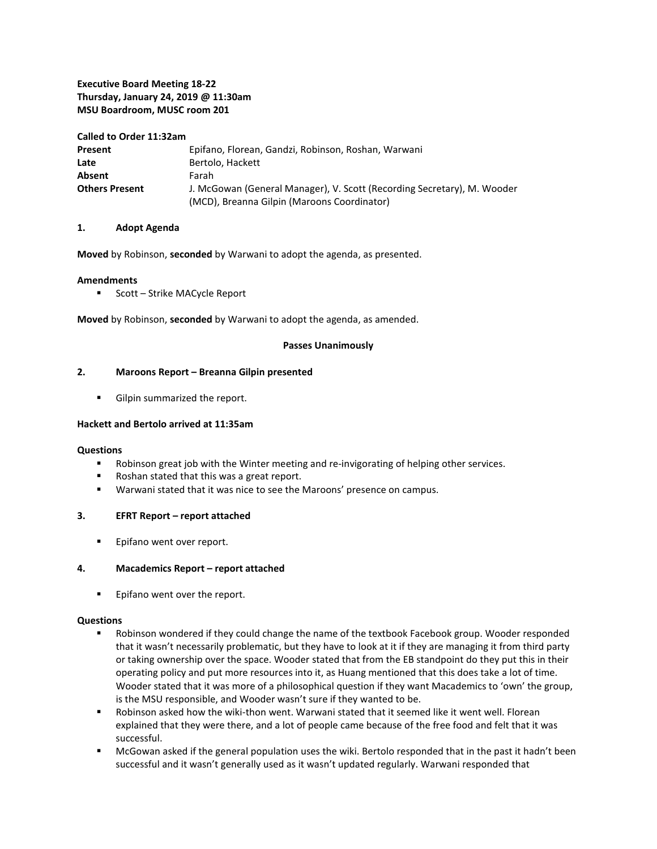#### **Executive Board Meeting 18-22 Thursday, January 24, 2019 @ 11:30am MSU Boardroom, MUSC room 201**

#### **Called to Order 11:32am**

| Present               | Epifano, Florean, Gandzi, Robinson, Roshan, Warwani                     |
|-----------------------|-------------------------------------------------------------------------|
| Late                  | Bertolo, Hackett                                                        |
| Absent                | Farah                                                                   |
| <b>Others Present</b> | J. McGowan (General Manager), V. Scott (Recording Secretary), M. Wooder |
|                       | (MCD), Breanna Gilpin (Maroons Coordinator)                             |

#### **1. Adopt Agenda**

**Moved** by Robinson, **seconded** by Warwani to adopt the agenda, as presented.

#### **Amendments**

**Scott – Strike MACycle Report** 

**Moved** by Robinson, **seconded** by Warwani to adopt the agenda, as amended.

#### **Passes Unanimously**

#### **2. Maroons Report – Breanna Gilpin presented**

**Gilpin summarized the report.** 

#### **Hackett and Bertolo arrived at 11:35am**

#### **Questions**

- Robinson great job with the Winter meeting and re-invigorating of helping other services.
- Roshan stated that this was a great report.
- Warwani stated that it was nice to see the Maroons' presence on campus.

#### **3. EFRT Report – report attached**

**Epifano went over report.** 

#### **4. Macademics Report – report attached**

**Epifano went over the report.** 

#### **Questions**

- Robinson wondered if they could change the name of the textbook Facebook group. Wooder responded that it wasn't necessarily problematic, but they have to look at it if they are managing it from third party or taking ownership over the space. Wooder stated that from the EB standpoint do they put this in their operating policy and put more resources into it, as Huang mentioned that this does take a lot of time. Wooder stated that it was more of a philosophical question if they want Macademics to 'own' the group, is the MSU responsible, and Wooder wasn't sure if they wanted to be.
- Robinson asked how the wiki-thon went. Warwani stated that it seemed like it went well. Florean explained that they were there, and a lot of people came because of the free food and felt that it was successful.
- McGowan asked if the general population uses the wiki. Bertolo responded that in the past it hadn't been successful and it wasn't generally used as it wasn't updated regularly. Warwani responded that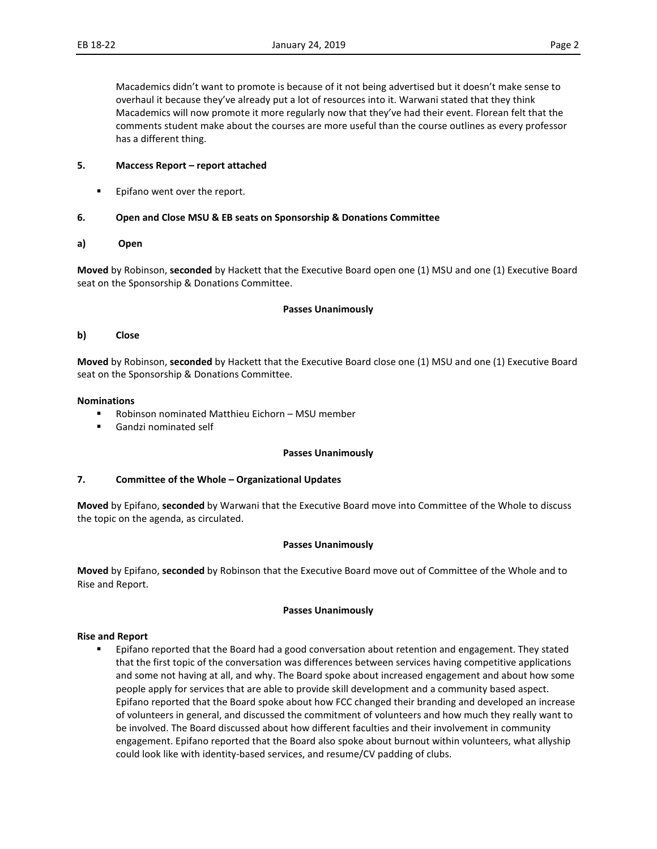Macademics didn't want to promote is because of it not being advertised but it doesn't make sense to overhaul it because they've already put a lot of resources into it. Warwani stated that they think Macademics will now promote it more regularly now that they've had their event. Florean felt that the comments student make about the courses are more useful than the course outlines as every professor has a different thing.

#### **5. Maccess Report – report attached**

**Epifano went over the report.** 

#### **6. Open and Close MSU & EB seats on Sponsorship & Donations Committee**

#### **a) Open**

**Moved** by Robinson, **seconded** by Hackett that the Executive Board open one (1) MSU and one (1) Executive Board seat on the Sponsorship & Donations Committee.

#### **Passes Unanimously**

#### **b) Close**

**Moved** by Robinson, **seconded** by Hackett that the Executive Board close one (1) MSU and one (1) Executive Board seat on the Sponsorship & Donations Committee.

#### **Nominations**

- Robinson nominated Matthieu Eichorn MSU member
- Gandzi nominated self

#### **Passes Unanimously**

#### **7. Committee of the Whole – Organizational Updates**

**Moved** by Epifano, **seconded** by Warwani that the Executive Board move into Committee of the Whole to discuss the topic on the agenda, as circulated.

#### **Passes Unanimously**

**Moved** by Epifano, **seconded** by Robinson that the Executive Board move out of Committee of the Whole and to Rise and Report.

#### **Passes Unanimously**

#### **Rise and Report**

**Epifano reported that the Board had a good conversation about retention and engagement. They stated** that the first topic of the conversation was differences between services having competitive applications and some not having at all, and why. The Board spoke about increased engagement and about how some people apply for services that are able to provide skill development and a community based aspect. Epifano reported that the Board spoke about how FCC changed their branding and developed an increase of volunteers in general, and discussed the commitment of volunteers and how much they really want to be involved. The Board discussed about how different faculties and their involvement in community engagement. Epifano reported that the Board also spoke about burnout within volunteers, what allyship could look like with identity-based services, and resume/CV padding of clubs.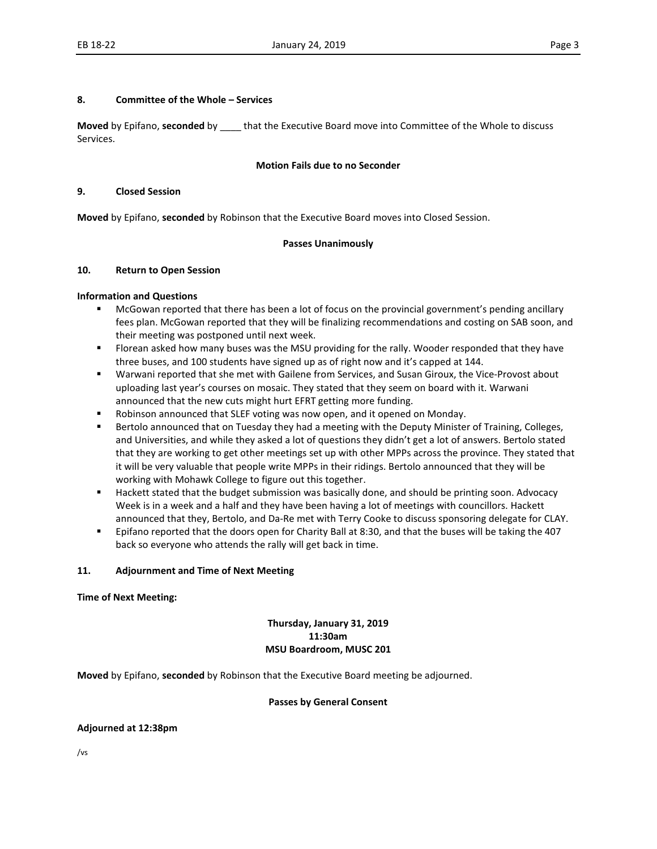#### **8. Committee of the Whole – Services**

**Moved** by Epifano, **seconded** by \_\_\_\_ that the Executive Board move into Committee of the Whole to discuss Services.

#### **Motion Fails due to no Seconder**

#### **9. Closed Session**

**Moved** by Epifano, **seconded** by Robinson that the Executive Board moves into Closed Session.

#### **Passes Unanimously**

#### **10. Return to Open Session**

#### **Information and Questions**

- McGowan reported that there has been a lot of focus on the provincial government's pending ancillary fees plan. McGowan reported that they will be finalizing recommendations and costing on SAB soon, and their meeting was postponed until next week.
- Florean asked how many buses was the MSU providing for the rally. Wooder responded that they have three buses, and 100 students have signed up as of right now and it's capped at 144.
- Warwani reported that she met with Gailene from Services, and Susan Giroux, the Vice-Provost about uploading last year's courses on mosaic. They stated that they seem on board with it. Warwani announced that the new cuts might hurt EFRT getting more funding.
- Robinson announced that SLEF voting was now open, and it opened on Monday.
- **Bertolo announced that on Tuesday they had a meeting with the Deputy Minister of Training, Colleges,** and Universities, and while they asked a lot of questions they didn't get a lot of answers. Bertolo stated that they are working to get other meetings set up with other MPPs across the province. They stated that it will be very valuable that people write MPPs in their ridings. Bertolo announced that they will be working with Mohawk College to figure out this together.
- Hackett stated that the budget submission was basically done, and should be printing soon. Advocacy Week is in a week and a half and they have been having a lot of meetings with councillors. Hackett announced that they, Bertolo, and Da-Re met with Terry Cooke to discuss sponsoring delegate for CLAY.
- Epifano reported that the doors open for Charity Ball at 8:30, and that the buses will be taking the 407 back so everyone who attends the rally will get back in time.

#### **11. Adjournment and Time of Next Meeting**

#### **Time of Next Meeting:**

#### **Thursday, January 31, 2019 11:30am MSU Boardroom, MUSC 201**

**Moved** by Epifano, **seconded** by Robinson that the Executive Board meeting be adjourned.

#### **Passes by General Consent**

#### **Adjourned at 12:38pm**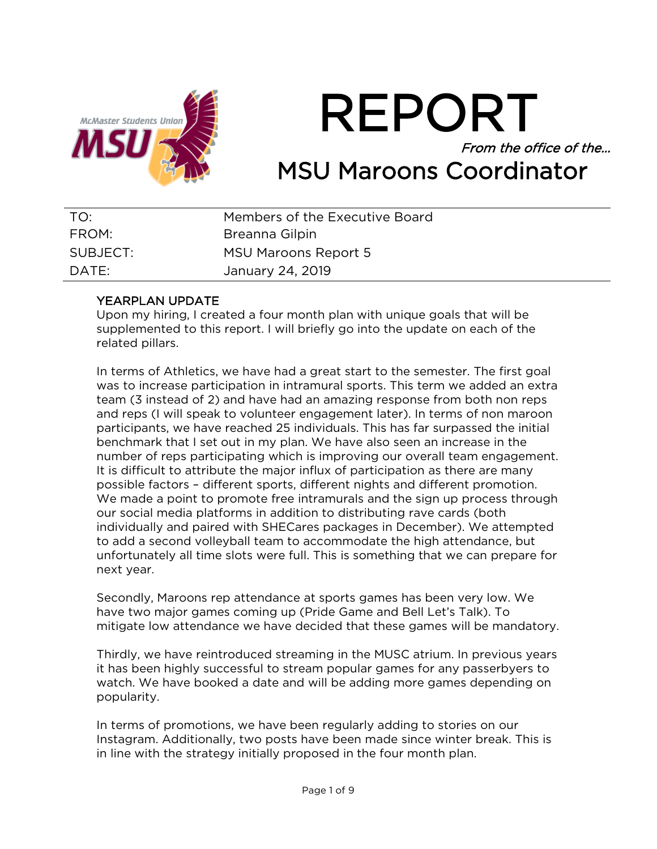

# REPORT From the office of the… MSU Maroons Coordinator

| TO:      | Members of the Executive Board |
|----------|--------------------------------|
| FROM:    | Breanna Gilpin                 |
| SUBJECT: | MSU Maroons Report 5           |
| DATE:    | January 24, 2019               |

## YEARPLAN UPDATE

Upon my hiring, I created a four month plan with unique goals that will be supplemented to this report. I will briefly go into the update on each of the related pillars.

In terms of Athletics, we have had a great start to the semester. The first goal was to increase participation in intramural sports. This term we added an extra team (3 instead of 2) and have had an amazing response from both non reps and reps (I will speak to volunteer engagement later). In terms of non maroon participants, we have reached 25 individuals. This has far surpassed the initial benchmark that I set out in my plan. We have also seen an increase in the number of reps participating which is improving our overall team engagement. It is difficult to attribute the major influx of participation as there are many possible factors – different sports, different nights and different promotion. We made a point to promote free intramurals and the sign up process through our social media platforms in addition to distributing rave cards (both individually and paired with SHECares packages in December). We attempted to add a second volleyball team to accommodate the high attendance, but unfortunately all time slots were full. This is something that we can prepare for next year.

Secondly, Maroons rep attendance at sports games has been very low. We have two major games coming up (Pride Game and Bell Let's Talk). To mitigate low attendance we have decided that these games will be mandatory.

Thirdly, we have reintroduced streaming in the MUSC atrium. In previous years it has been highly successful to stream popular games for any passerbyers to watch. We have booked a date and will be adding more games depending on popularity.

In terms of promotions, we have been regularly adding to stories on our Instagram. Additionally, two posts have been made since winter break. This is in line with the strategy initially proposed in the four month plan.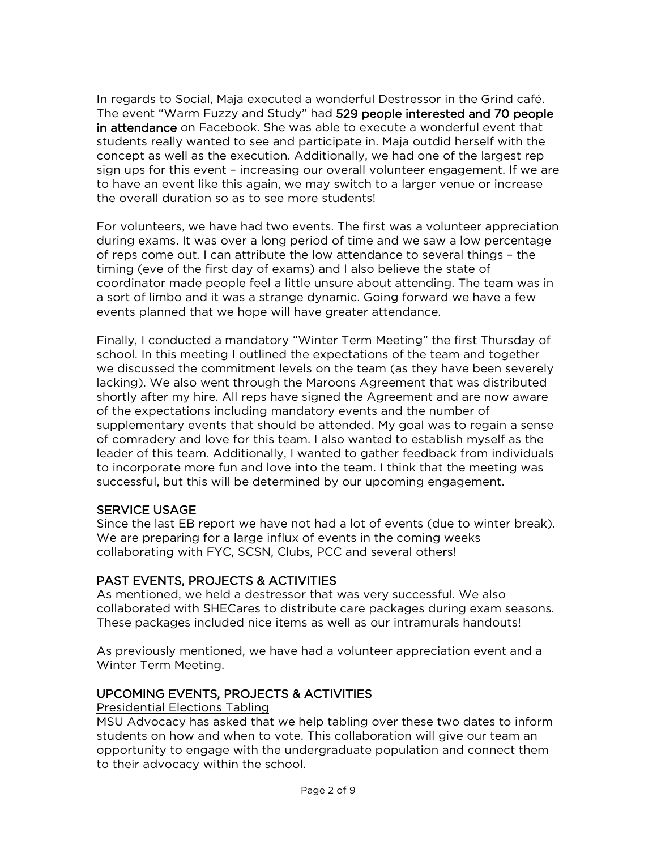In regards to Social, Maja executed a wonderful Destressor in the Grind café. The event "Warm Fuzzy and Study" had 529 people interested and 70 people in attendance on Facebook. She was able to execute a wonderful event that students really wanted to see and participate in. Maja outdid herself with the concept as well as the execution. Additionally, we had one of the largest rep sign ups for this event – increasing our overall volunteer engagement. If we are to have an event like this again, we may switch to a larger venue or increase the overall duration so as to see more students!

For volunteers, we have had two events. The first was a volunteer appreciation during exams. It was over a long period of time and we saw a low percentage of reps come out. I can attribute the low attendance to several things – the timing (eve of the first day of exams) and I also believe the state of coordinator made people feel a little unsure about attending. The team was in a sort of limbo and it was a strange dynamic. Going forward we have a few events planned that we hope will have greater attendance.

Finally, I conducted a mandatory "Winter Term Meeting" the first Thursday of school. In this meeting I outlined the expectations of the team and together we discussed the commitment levels on the team (as they have been severely lacking). We also went through the Maroons Agreement that was distributed shortly after my hire. All reps have signed the Agreement and are now aware of the expectations including mandatory events and the number of supplementary events that should be attended. My goal was to regain a sense of comradery and love for this team. I also wanted to establish myself as the leader of this team. Additionally, I wanted to gather feedback from individuals to incorporate more fun and love into the team. I think that the meeting was successful, but this will be determined by our upcoming engagement.

## SERVICE USAGE

Since the last EB report we have not had a lot of events (due to winter break). We are preparing for a large influx of events in the coming weeks collaborating with FYC, SCSN, Clubs, PCC and several others!

## PAST EVENTS, PROJECTS & ACTIVITIES

As mentioned, we held a destressor that was very successful. We also collaborated with SHECares to distribute care packages during exam seasons. These packages included nice items as well as our intramurals handouts!

As previously mentioned, we have had a volunteer appreciation event and a Winter Term Meeting.

## UPCOMING EVENTS, PROJECTS & ACTIVITIES

## Presidential Elections Tabling

MSU Advocacy has asked that we help tabling over these two dates to inform students on how and when to vote. This collaboration will give our team an opportunity to engage with the undergraduate population and connect them to their advocacy within the school.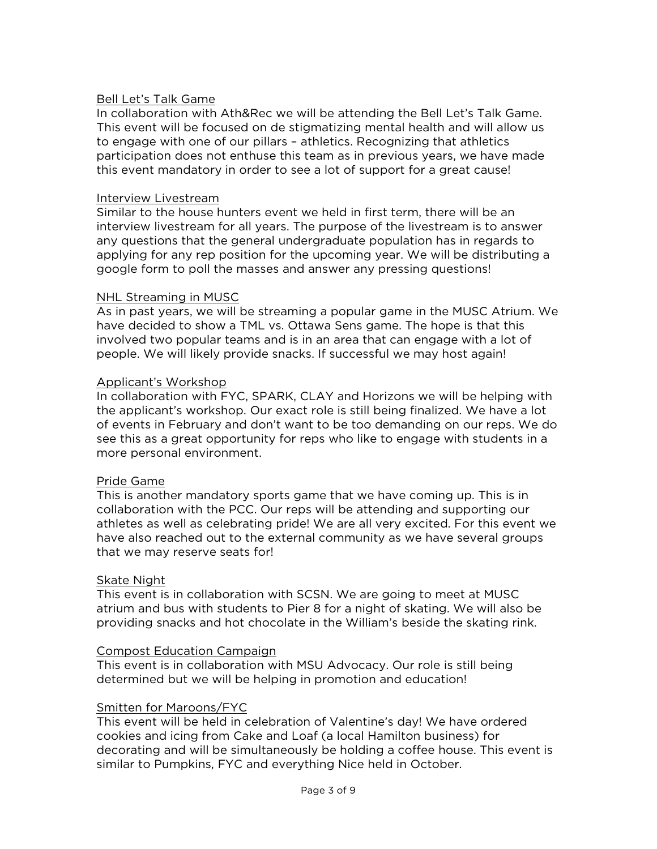#### Bell Let's Talk Game

In collaboration with Ath&Rec we will be attending the Bell Let's Talk Game. This event will be focused on de stigmatizing mental health and will allow us to engage with one of our pillars – athletics. Recognizing that athletics participation does not enthuse this team as in previous years, we have made this event mandatory in order to see a lot of support for a great cause!

#### Interview Livestream

Similar to the house hunters event we held in first term, there will be an interview livestream for all years. The purpose of the livestream is to answer any questions that the general undergraduate population has in regards to applying for any rep position for the upcoming year. We will be distributing a google form to poll the masses and answer any pressing questions!

#### NHL Streaming in MUSC

As in past years, we will be streaming a popular game in the MUSC Atrium. We have decided to show a TML vs. Ottawa Sens game. The hope is that this involved two popular teams and is in an area that can engage with a lot of people. We will likely provide snacks. If successful we may host again!

#### Applicant's Workshop

In collaboration with FYC, SPARK, CLAY and Horizons we will be helping with the applicant's workshop. Our exact role is still being finalized. We have a lot of events in February and don't want to be too demanding on our reps. We do see this as a great opportunity for reps who like to engage with students in a more personal environment.

#### Pride Game

This is another mandatory sports game that we have coming up. This is in collaboration with the PCC. Our reps will be attending and supporting our athletes as well as celebrating pride! We are all very excited. For this event we have also reached out to the external community as we have several groups that we may reserve seats for!

#### Skate Night

This event is in collaboration with SCSN. We are going to meet at MUSC atrium and bus with students to Pier 8 for a night of skating. We will also be providing snacks and hot chocolate in the William's beside the skating rink.

#### Compost Education Campaign

This event is in collaboration with MSU Advocacy. Our role is still being determined but we will be helping in promotion and education!

#### Smitten for Maroons/FYC

This event will be held in celebration of Valentine's day! We have ordered cookies and icing from Cake and Loaf (a local Hamilton business) for decorating and will be simultaneously be holding a coffee house. This event is similar to Pumpkins, FYC and everything Nice held in October.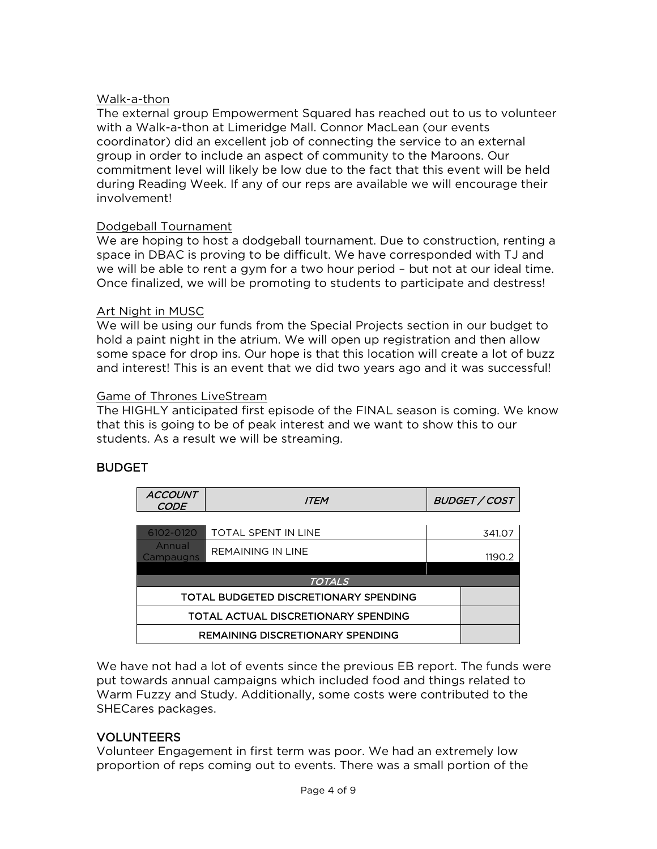#### Walk-a-thon

The external group Empowerment Squared has reached out to us to volunteer with a Walk-a-thon at Limeridge Mall. Connor MacLean (our events coordinator) did an excellent job of connecting the service to an external group in order to include an aspect of community to the Maroons. Our commitment level will likely be low due to the fact that this event will be held during Reading Week. If any of our reps are available we will encourage their involvement!

#### Dodgeball Tournament

We are hoping to host a dodgeball tournament. Due to construction, renting a space in DBAC is proving to be difficult. We have corresponded with TJ and we will be able to rent a gym for a two hour period – but not at our ideal time. Once finalized, we will be promoting to students to participate and destress!

#### Art Night in MUSC

We will be using our funds from the Special Projects section in our budget to hold a paint night in the atrium. We will open up registration and then allow some space for drop ins. Our hope is that this location will create a lot of buzz and interest! This is an event that we did two years ago and it was successful!

#### Game of Thrones LiveStream

The HIGHLY anticipated first episode of the FINAL season is coming. We know that this is going to be of peak interest and we want to show this to our students. As a result we will be streaming.

## **BUDGET**

| <b>ACCOUNT</b><br><b>CODE</b>           | <i>ITEM</i>              |  | <b>BUDGET / COST</b> |  |  |
|-----------------------------------------|--------------------------|--|----------------------|--|--|
|                                         |                          |  |                      |  |  |
| 6102-0120                               | TOTAL SPENT IN LINE      |  | 341.07               |  |  |
| Annual<br>Campaugns                     | <b>REMAINING IN LINE</b> |  | 1190.2               |  |  |
|                                         |                          |  |                      |  |  |
| <b>TOTALS</b>                           |                          |  |                      |  |  |
| TOTAL BUDGETED DISCRETIONARY SPENDING   |                          |  |                      |  |  |
| TOTAL ACTUAL DISCRETIONARY SPENDING     |                          |  |                      |  |  |
| <b>REMAINING DISCRETIONARY SPENDING</b> |                          |  |                      |  |  |

We have not had a lot of events since the previous EB report. The funds were put towards annual campaigns which included food and things related to Warm Fuzzy and Study. Additionally, some costs were contributed to the SHECares packages.

## VOLUNTEERS

Volunteer Engagement in first term was poor. We had an extremely low proportion of reps coming out to events. There was a small portion of the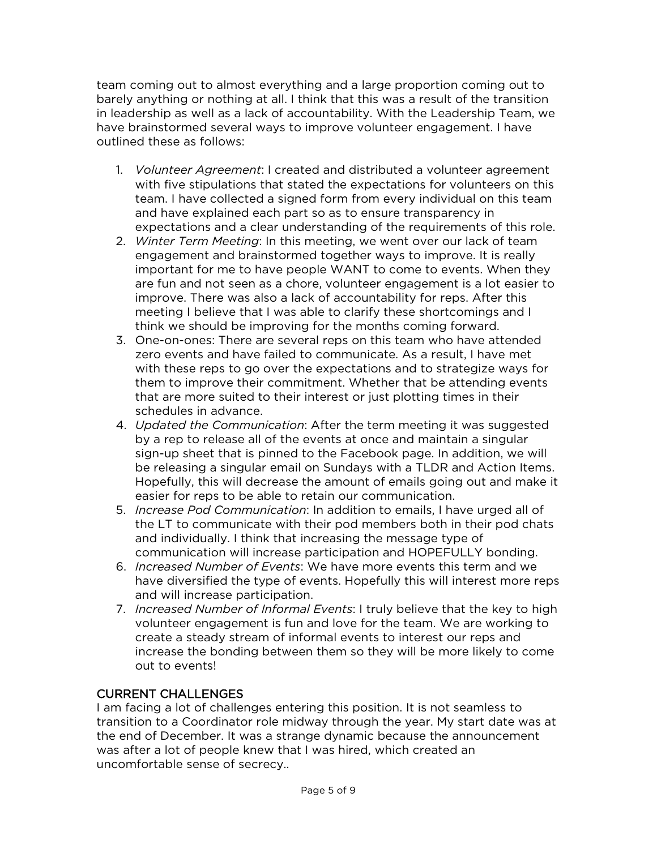team coming out to almost everything and a large proportion coming out to barely anything or nothing at all. I think that this was a result of the transition in leadership as well as a lack of accountability. With the Leadership Team, we have brainstormed several ways to improve volunteer engagement. I have outlined these as follows:

- 1. *Volunteer Agreement*: I created and distributed a volunteer agreement with five stipulations that stated the expectations for volunteers on this team. I have collected a signed form from every individual on this team and have explained each part so as to ensure transparency in expectations and a clear understanding of the requirements of this role.
- 2. *Winter Term Meeting*: In this meeting, we went over our lack of team engagement and brainstormed together ways to improve. It is really important for me to have people WANT to come to events. When they are fun and not seen as a chore, volunteer engagement is a lot easier to improve. There was also a lack of accountability for reps. After this meeting I believe that I was able to clarify these shortcomings and I think we should be improving for the months coming forward.
- 3. One-on-ones: There are several reps on this team who have attended zero events and have failed to communicate. As a result, I have met with these reps to go over the expectations and to strategize ways for them to improve their commitment. Whether that be attending events that are more suited to their interest or just plotting times in their schedules in advance.
- 4. *Updated the Communication*: After the term meeting it was suggested by a rep to release all of the events at once and maintain a singular sign-up sheet that is pinned to the Facebook page. In addition, we will be releasing a singular email on Sundays with a TLDR and Action Items. Hopefully, this will decrease the amount of emails going out and make it easier for reps to be able to retain our communication.
- 5. *Increase Pod Communication*: In addition to emails, I have urged all of the LT to communicate with their pod members both in their pod chats and individually. I think that increasing the message type of communication will increase participation and HOPEFULLY bonding.
- 6. *Increased Number of Events*: We have more events this term and we have diversified the type of events. Hopefully this will interest more reps and will increase participation.
- 7. *Increased Number of Informal Events*: I truly believe that the key to high volunteer engagement is fun and love for the team. We are working to create a steady stream of informal events to interest our reps and increase the bonding between them so they will be more likely to come out to events!

## CURRENT CHALLENGES

I am facing a lot of challenges entering this position. It is not seamless to transition to a Coordinator role midway through the year. My start date was at the end of December. It was a strange dynamic because the announcement was after a lot of people knew that I was hired, which created an uncomfortable sense of secrecy..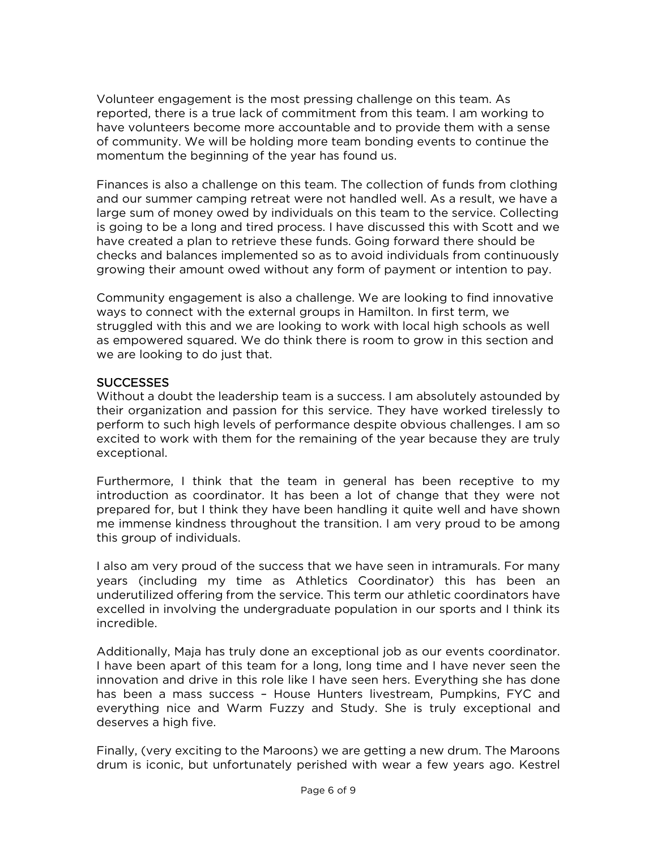Volunteer engagement is the most pressing challenge on this team. As reported, there is a true lack of commitment from this team. I am working to have volunteers become more accountable and to provide them with a sense of community. We will be holding more team bonding events to continue the momentum the beginning of the year has found us.

Finances is also a challenge on this team. The collection of funds from clothing and our summer camping retreat were not handled well. As a result, we have a large sum of money owed by individuals on this team to the service. Collecting is going to be a long and tired process. I have discussed this with Scott and we have created a plan to retrieve these funds. Going forward there should be checks and balances implemented so as to avoid individuals from continuously growing their amount owed without any form of payment or intention to pay.

Community engagement is also a challenge. We are looking to find innovative ways to connect with the external groups in Hamilton. In first term, we struggled with this and we are looking to work with local high schools as well as empowered squared. We do think there is room to grow in this section and we are looking to do just that.

#### **SUCCESSES**

Without a doubt the leadership team is a success. I am absolutely astounded by their organization and passion for this service. They have worked tirelessly to perform to such high levels of performance despite obvious challenges. I am so excited to work with them for the remaining of the year because they are truly exceptional.

Furthermore, I think that the team in general has been receptive to my introduction as coordinator. It has been a lot of change that they were not prepared for, but I think they have been handling it quite well and have shown me immense kindness throughout the transition. I am very proud to be among this group of individuals.

I also am very proud of the success that we have seen in intramurals. For many years (including my time as Athletics Coordinator) this has been an underutilized offering from the service. This term our athletic coordinators have excelled in involving the undergraduate population in our sports and I think its incredible.

Additionally, Maja has truly done an exceptional job as our events coordinator. I have been apart of this team for a long, long time and I have never seen the innovation and drive in this role like I have seen hers. Everything she has done has been a mass success – House Hunters livestream, Pumpkins, FYC and everything nice and Warm Fuzzy and Study. She is truly exceptional and deserves a high five.

Finally, (very exciting to the Maroons) we are getting a new drum. The Maroons drum is iconic, but unfortunately perished with wear a few years ago. Kestrel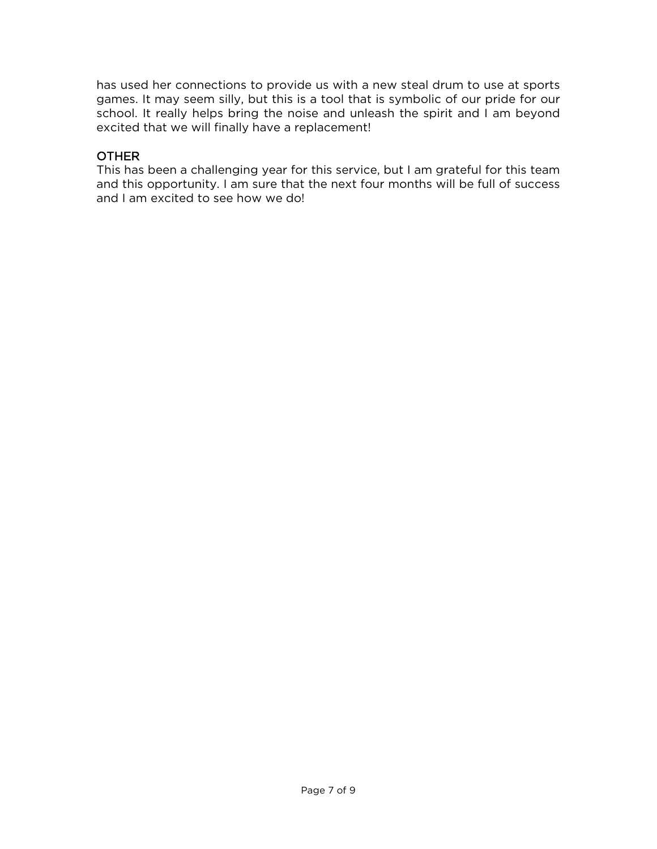has used her connections to provide us with a new steal drum to use at sports games. It may seem silly, but this is a tool that is symbolic of our pride for our school. It really helps bring the noise and unleash the spirit and I am beyond excited that we will finally have a replacement!

## **OTHER**

This has been a challenging year for this service, but I am grateful for this team and this opportunity. I am sure that the next four months will be full of success and I am excited to see how we do!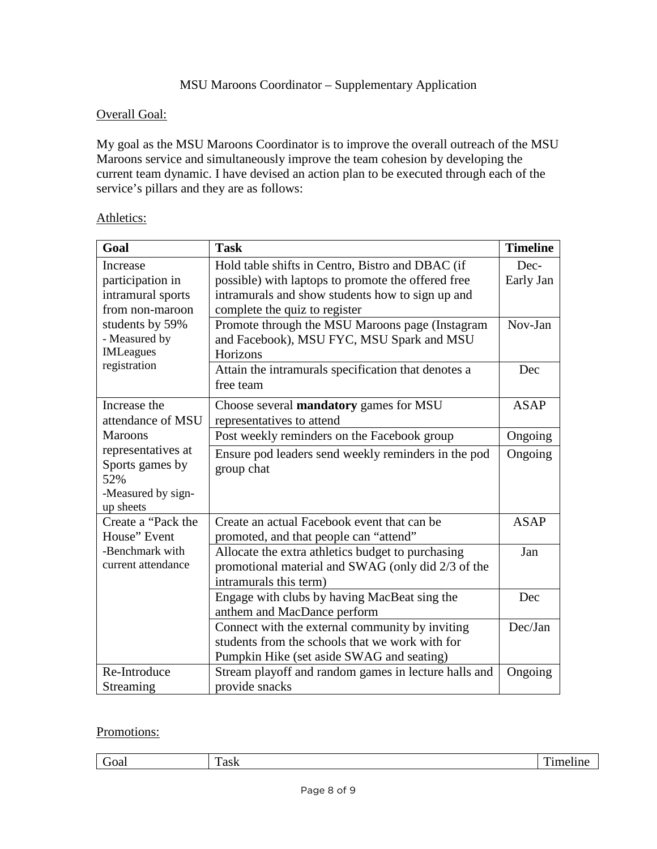## Overall Goal:

My goal as the MSU Maroons Coordinator is to improve the overall outreach of the MSU Maroons service and simultaneously improve the team cohesion by developing the current team dynamic. I have devised an action plan to be executed through each of the service's pillars and they are as follows:

| Goal                            | <b>Task</b>                                          | <b>Timeline</b> |
|---------------------------------|------------------------------------------------------|-----------------|
| Increase                        | Hold table shifts in Centro, Bistro and DBAC (if     | Dec-            |
| participation in                | possible) with laptops to promote the offered free   | Early Jan       |
| intramural sports               | intramurals and show students how to sign up and     |                 |
| from non-maroon                 | complete the quiz to register                        |                 |
| students by 59%                 | Promote through the MSU Maroons page (Instagram      | Nov-Jan         |
| - Measured by                   | and Facebook), MSU FYC, MSU Spark and MSU            |                 |
| <b>IMLeagues</b>                | Horizons                                             |                 |
| registration                    | Attain the intramurals specification that denotes a  | Dec             |
|                                 | free team                                            |                 |
| Increase the                    | Choose several <b>mandatory</b> games for MSU        | ASAP            |
| attendance of MSU               | representatives to attend                            |                 |
| <b>Maroons</b>                  | Post weekly reminders on the Facebook group          | Ongoing         |
| representatives at              | Ensure pod leaders send weekly reminders in the pod  | Ongoing         |
| Sports games by                 | group chat                                           |                 |
| 52%                             |                                                      |                 |
| -Measured by sign-              |                                                      |                 |
| up sheets<br>Create a "Pack the | Create an actual Facebook event that can be          | <b>ASAP</b>     |
| House" Event                    | promoted, and that people can "attend"               |                 |
| -Benchmark with                 | Allocate the extra athletics budget to purchasing    | Jan             |
| current attendance              | promotional material and SWAG (only did 2/3 of the   |                 |
|                                 | intramurals this term)                               |                 |
|                                 | Engage with clubs by having MacBeat sing the         | Dec             |
|                                 | anthem and MacDance perform                          |                 |
|                                 | Connect with the external community by inviting      | Dec/Jan         |
|                                 | students from the schools that we work with for      |                 |
|                                 | Pumpkin Hike (set aside SWAG and seating)            |                 |
| Re-Introduce                    | Stream playoff and random games in lecture halls and | Ongoing         |
| Streaming                       | provide snacks                                       |                 |

## Athletics:

## Promotions:

| _<br>rai<br>. | -<br>o o li<br>-asn | m<br>- -<br>пс<br>--<br>$\sim$ $\sim$ $\sim$ |
|---------------|---------------------|----------------------------------------------|
|               |                     |                                              |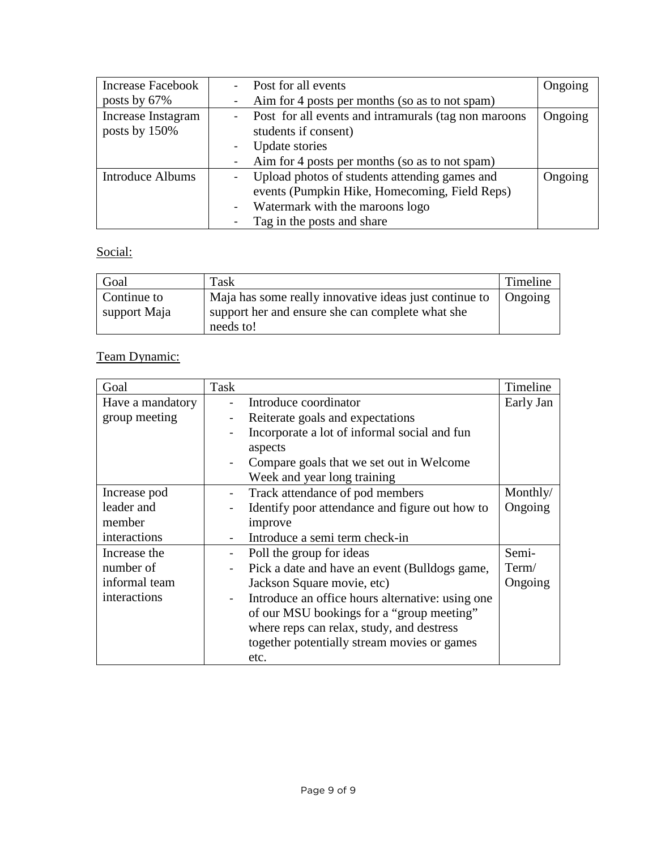| <b>Increase Facebook</b> |                | Post for all events                                  | Ongoing |
|--------------------------|----------------|------------------------------------------------------|---------|
| posts by 67%             |                | Aim for 4 posts per months (so as to not spam)       |         |
| Increase Instagram       | $\sim 100$     | Post for all events and intramurals (tag non maroons | Ongoing |
| posts by 150%            |                | students if consent)                                 |         |
|                          |                | Update stories                                       |         |
|                          |                | Aim for 4 posts per months (so as to not spam)       |         |
| <b>Introduce Albums</b>  | $\blacksquare$ | Upload photos of students attending games and        | Ongoing |
|                          |                | events (Pumpkin Hike, Homecoming, Field Reps)        |         |
|                          | $\blacksquare$ | Watermark with the maroons logo                      |         |
|                          |                | Tag in the posts and share                           |         |

## Social:

| Goal         | Task                                                   | Timeline |
|--------------|--------------------------------------------------------|----------|
| Continue to  | Maja has some really innovative ideas just continue to | Ongoing  |
| support Maja | support her and ensure she can complete what she       |          |
|              | needs to!                                              |          |

# Team Dynamic:

| Goal             | Task                     |                                                  | Timeline  |
|------------------|--------------------------|--------------------------------------------------|-----------|
| Have a mandatory |                          | Introduce coordinator                            | Early Jan |
| group meeting    |                          | Reiterate goals and expectations                 |           |
|                  | $\overline{\phantom{a}}$ | Incorporate a lot of informal social and fun     |           |
|                  |                          | aspects                                          |           |
|                  |                          | Compare goals that we set out in Welcome         |           |
|                  |                          | Week and year long training                      |           |
| Increase pod     |                          | Track attendance of pod members                  | Monthly/  |
| leader and       |                          | Identify poor attendance and figure out how to   | Ongoing   |
| member           |                          | improve                                          |           |
| interactions     |                          | Introduce a semi term check-in                   |           |
| Increase the     |                          | Poll the group for ideas                         | Semi-     |
| number of        | $\blacksquare$           | Pick a date and have an event (Bulldogs game,    | Term/     |
| informal team    |                          | Jackson Square movie, etc)                       | Ongoing   |
| interactions     | $\blacksquare$           | Introduce an office hours alternative: using one |           |
|                  |                          | of our MSU bookings for a "group meeting"        |           |
|                  |                          | where reps can relax, study, and destress        |           |
|                  |                          | together potentially stream movies or games      |           |
|                  |                          | etc.                                             |           |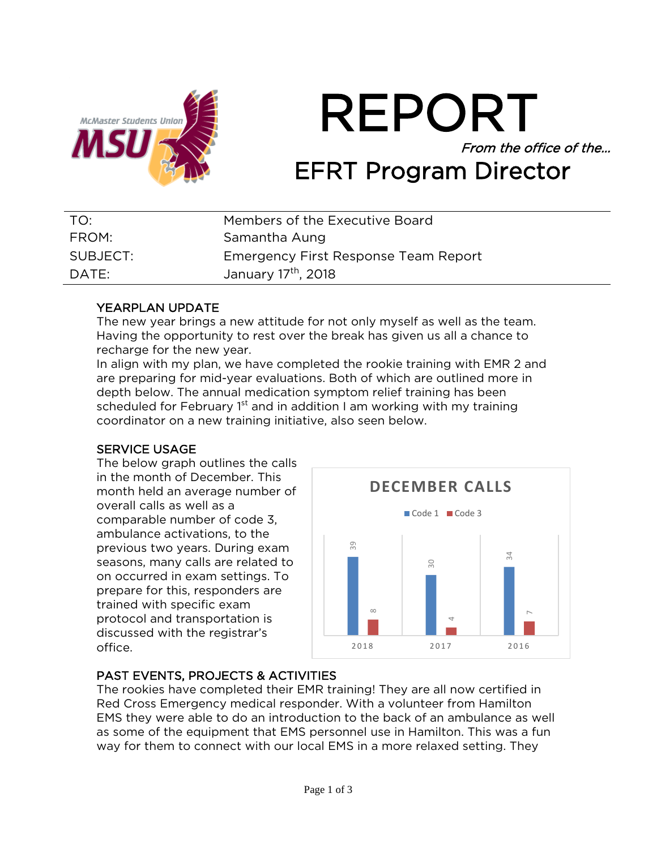

REPORT From the office of the… EFRT Program Director

| TO:      | Members of the Executive Board       |
|----------|--------------------------------------|
| FROM:    | Samantha Aung                        |
| SUBJECT: | Emergency First Response Team Report |
| DATE:    | January 17th, 2018                   |

## YEARPLAN UPDATE

The new year brings a new attitude for not only myself as well as the team. Having the opportunity to rest over the break has given us all a chance to recharge for the new year.

In align with my plan, we have completed the rookie training with EMR 2 and are preparing for mid-year evaluations. Both of which are outlined more in depth below. The annual medication symptom relief training has been scheduled for February  $1<sup>st</sup>$  and in addition I am working with my training coordinator on a new training initiative, also seen below.

## SERVICE USAGE

The below graph outlines the calls in the month of December. This month held an average number of overall calls as well as a comparable number of code 3, ambulance activations, to the previous two years. During exam seasons, many calls are related to on occurred in exam settings. To prepare for this, responders are trained with specific exam protocol and transportation is discussed with the registrar's office.



## PAST EVENTS, PROJECTS & ACTIVITIES

The rookies have completed their EMR training! They are all now certified in Red Cross Emergency medical responder. With a volunteer from Hamilton EMS they were able to do an introduction to the back of an ambulance as well as some of the equipment that EMS personnel use in Hamilton. This was a fun way for them to connect with our local EMS in a more relaxed setting. They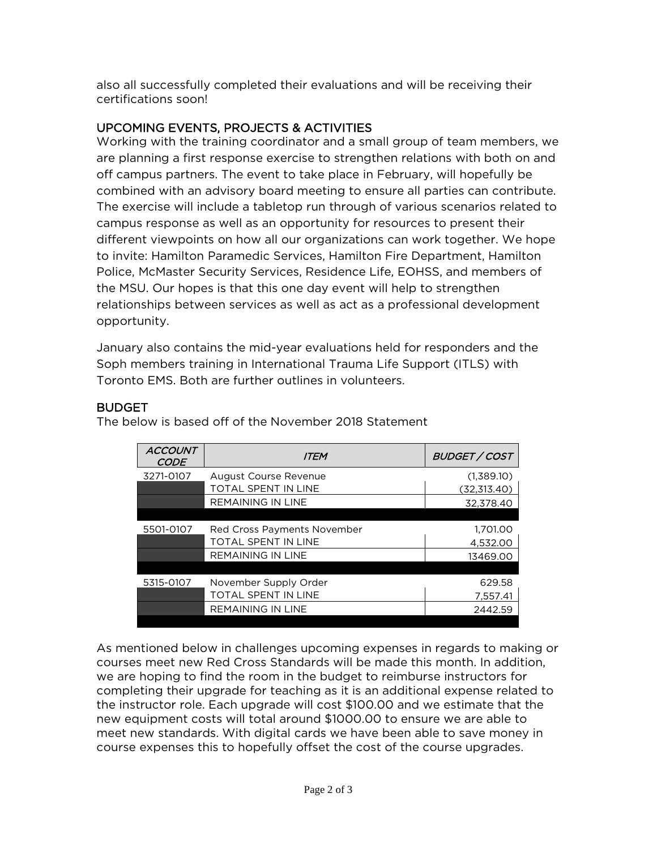also all successfully completed their evaluations and will be receiving their certifications soon!

## UPCOMING EVENTS, PROJECTS & ACTIVITIES

Working with the training coordinator and a small group of team members, we are planning a first response exercise to strengthen relations with both on and off campus partners. The event to take place in February, will hopefully be combined with an advisory board meeting to ensure all parties can contribute. The exercise will include a tabletop run through of various scenarios related to campus response as well as an opportunity for resources to present their different viewpoints on how all our organizations can work together. We hope to invite: Hamilton Paramedic Services, Hamilton Fire Department, Hamilton Police, McMaster Security Services, Residence Life, EOHSS, and members of the MSU. Our hopes is that this one day event will help to strengthen relationships between services as well as act as a professional development opportunity.

January also contains the mid-year evaluations held for responders and the Soph members training in International Trauma Life Support (ITLS) with Toronto EMS. Both are further outlines in volunteers.

## BUDGET

| <b>ACCOUNT</b><br><b>CODE</b> | <b>ITEM</b>                 | <b>BUDGET / COST</b> |
|-------------------------------|-----------------------------|----------------------|
| 3271-0107                     | August Course Revenue       | (1,389.10)           |
|                               | <b>TOTAL SPENT IN LINE</b>  | (32,313.40)          |
|                               | <b>REMAINING IN LINE</b>    | 32.378.40            |
|                               |                             |                      |
| 5501-0107                     | Red Cross Payments November | 1.701.00             |
|                               | TOTAL SPENT IN LINE         | 4.532.00             |
|                               | <b>REMAINING IN LINE</b>    | 13469.00             |
|                               |                             |                      |
| 5315-0107                     | November Supply Order       | 629.58               |
|                               | <b>TOTAL SPENT IN LINE</b>  | 7.557.41             |
|                               | <b>REMAINING IN LINE</b>    | 2442.59              |
|                               |                             |                      |

The below is based off of the November 2018 Statement

As mentioned below in challenges upcoming expenses in regards to making or courses meet new Red Cross Standards will be made this month. In addition, we are hoping to find the room in the budget to reimburse instructors for completing their upgrade for teaching as it is an additional expense related to the instructor role. Each upgrade will cost \$100.00 and we estimate that the new equipment costs will total around \$1000.00 to ensure we are able to meet new standards. With digital cards we have been able to save money in course expenses this to hopefully offset the cost of the course upgrades.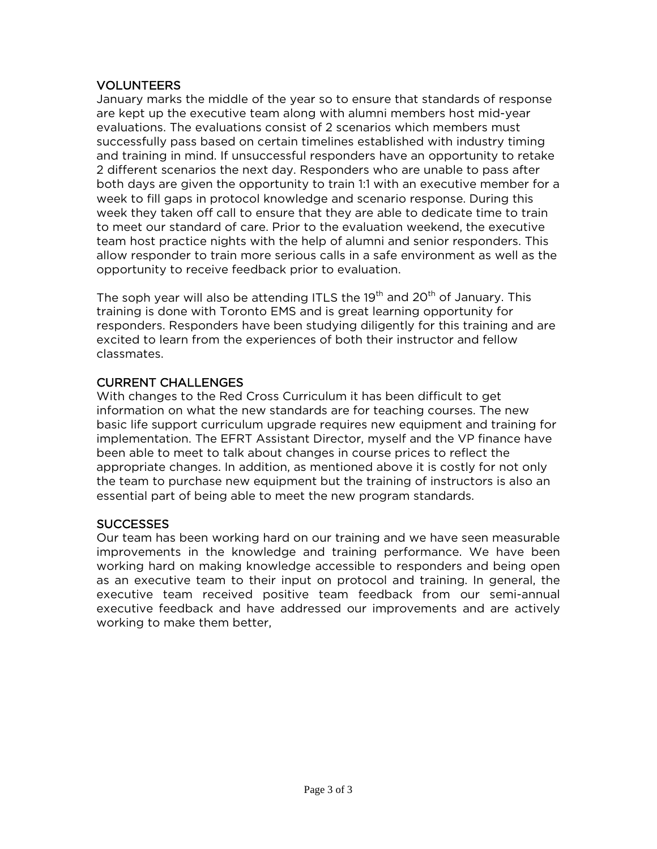## VOLUNTEERS

January marks the middle of the year so to ensure that standards of response are kept up the executive team along with alumni members host mid-year evaluations. The evaluations consist of 2 scenarios which members must successfully pass based on certain timelines established with industry timing and training in mind. If unsuccessful responders have an opportunity to retake 2 different scenarios the next day. Responders who are unable to pass after both days are given the opportunity to train 1:1 with an executive member for a week to fill gaps in protocol knowledge and scenario response. During this week they taken off call to ensure that they are able to dedicate time to train to meet our standard of care. Prior to the evaluation weekend, the executive team host practice nights with the help of alumni and senior responders. This allow responder to train more serious calls in a safe environment as well as the opportunity to receive feedback prior to evaluation.

The soph year will also be attending ITLS the 19<sup>th</sup> and 20<sup>th</sup> of January. This training is done with Toronto EMS and is great learning opportunity for responders. Responders have been studying diligently for this training and are excited to learn from the experiences of both their instructor and fellow classmates.

## CURRENT CHALLENGES

With changes to the Red Cross Curriculum it has been difficult to get information on what the new standards are for teaching courses. The new basic life support curriculum upgrade requires new equipment and training for implementation. The EFRT Assistant Director, myself and the VP finance have been able to meet to talk about changes in course prices to reflect the appropriate changes. In addition, as mentioned above it is costly for not only the team to purchase new equipment but the training of instructors is also an essential part of being able to meet the new program standards.

## **SUCCESSES**

Our team has been working hard on our training and we have seen measurable improvements in the knowledge and training performance. We have been working hard on making knowledge accessible to responders and being open as an executive team to their input on protocol and training. In general, the executive team received positive team feedback from our semi-annual executive feedback and have addressed our improvements and are actively working to make them better,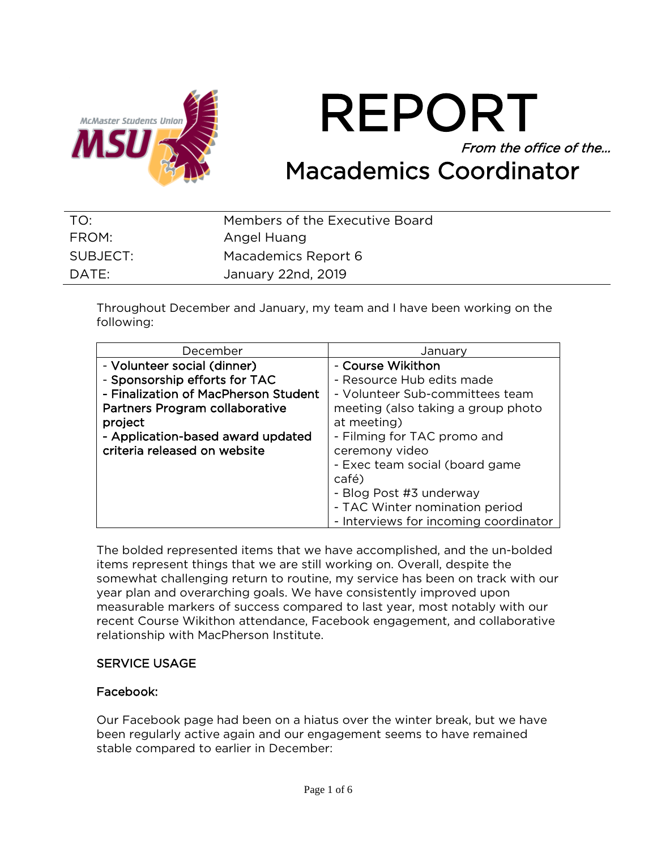

REPORT From the office of the… Macademics Coordinator

| TO:      | Members of the Executive Board |
|----------|--------------------------------|
| FROM:    | Angel Huang                    |
| SUBJECT: | Macademics Report 6            |
| DATE:    | January 22nd, 2019             |

Throughout December and January, my team and I have been working on the following:

| December                                                                | Januarv                               |  |
|-------------------------------------------------------------------------|---------------------------------------|--|
| - Volunteer social (dinner)                                             | - Course Wikithon                     |  |
| - Sponsorship efforts for TAC                                           | - Resource Hub edits made             |  |
| - Finalization of MacPherson Student<br>- Volunteer Sub-committees team |                                       |  |
| Partners Program collaborative<br>meeting (also taking a group photo    |                                       |  |
| project                                                                 | at meeting)                           |  |
| - Application-based award updated                                       | - Filming for TAC promo and           |  |
| criteria released on website                                            | ceremony video                        |  |
|                                                                         | - Exec team social (board game        |  |
|                                                                         | café)                                 |  |
|                                                                         | - Blog Post #3 underway               |  |
|                                                                         | - TAC Winter nomination period        |  |
|                                                                         | - Interviews for incoming coordinator |  |

The bolded represented items that we have accomplished, and the un-bolded items represent things that we are still working on. Overall, despite the somewhat challenging return to routine, my service has been on track with our year plan and overarching goals. We have consistently improved upon measurable markers of success compared to last year, most notably with our recent Course Wikithon attendance, Facebook engagement, and collaborative relationship with MacPherson Institute.

#### SERVICE USAGE

#### Facebook:

Our Facebook page had been on a hiatus over the winter break, but we have been regularly active again and our engagement seems to have remained stable compared to earlier in December: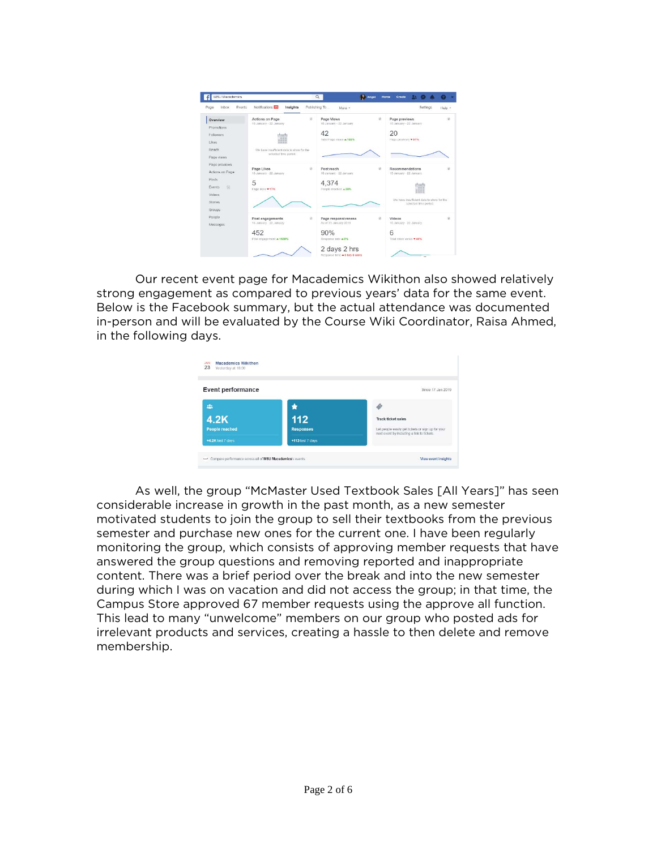

Our recent event page for Macademics Wikithon also showed relatively strong engagement as compared to previous years' data for the same event. Below is the Facebook summary, but the actual attendance was documented in-person and will be evaluated by the Course Wiki Coordinator, Raisa Ahmed, in the following days.

| <b>Event performance</b> |                  | Since 17 Jan 2019                                                                               |
|--------------------------|------------------|-------------------------------------------------------------------------------------------------|
| 223                      |                  |                                                                                                 |
| 4.2K                     | 112              | <b>Track ticket sales</b>                                                                       |
| <b>People reached</b>    | <b>Responses</b> | Let people easily get tickets or sign up for your<br>next event by including a link to tickets. |
| +4.2K last 7 days        | +113 last 7 days |                                                                                                 |

As well, the group "McMaster Used Textbook Sales [All Years]" has seen considerable increase in growth in the past month, as a new semester motivated students to join the group to sell their textbooks from the previous semester and purchase new ones for the current one. I have been regularly monitoring the group, which consists of approving member requests that have answered the group questions and removing reported and inappropriate content. There was a brief period over the break and into the new semester during which I was on vacation and did not access the group; in that time, the Campus Store approved 67 member requests using the approve all function. This lead to many "unwelcome" members on our group who posted ads for irrelevant products and services, creating a hassle to then delete and remove membership.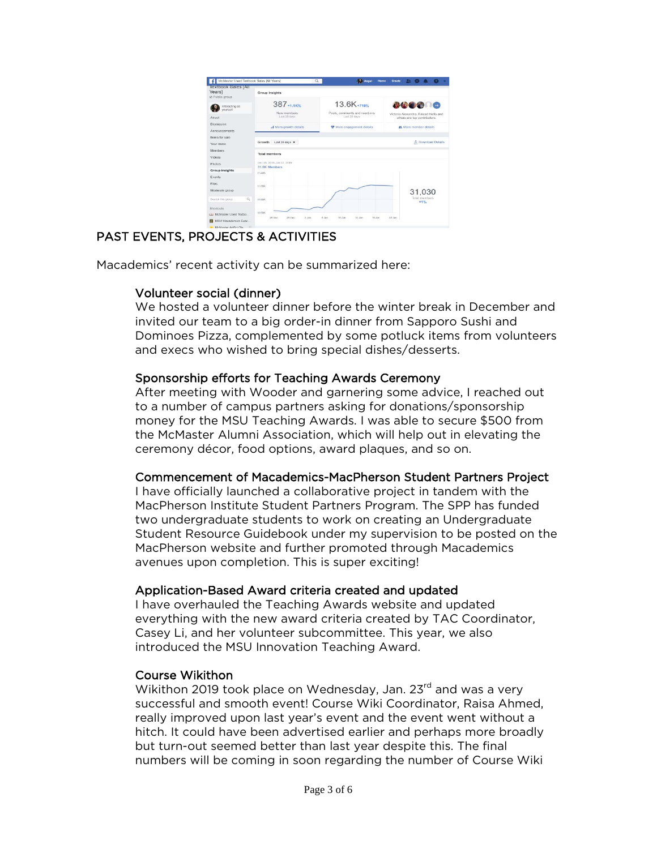

## PAST EVENTS, PROJECTS & ACTIVITIES

Macademics' recent activity can be summarized here:

## Volunteer social (dinner)

We hosted a volunteer dinner before the winter break in December and invited our team to a big order-in dinner from Sapporo Sushi and Dominoes Pizza, complemented by some potluck items from volunteers and execs who wished to bring special dishes/desserts.

## Sponsorship efforts for Teaching Awards Ceremony

After meeting with Wooder and garnering some advice, I reached out to a number of campus partners asking for donations/sponsorship money for the MSU Teaching Awards. I was able to secure \$500 from the McMaster Alumni Association, which will help out in elevating the ceremony décor, food options, award plaques, and so on.

## Commencement of Macademics-MacPherson Student Partners Project

I have officially launched a collaborative project in tandem with the MacPherson Institute Student Partners Program. The SPP has funded two undergraduate students to work on creating an Undergraduate Student Resource Guidebook under my supervision to be posted on the MacPherson website and further promoted through Macademics avenues upon completion. This is super exciting!

## Application-Based Award criteria created and updated

I have overhauled the Teaching Awards website and updated everything with the new award criteria created by TAC Coordinator, Casey Li, and her volunteer subcommittee. This year, we also introduced the MSU Innovation Teaching Award.

## Course Wikithon

Wikithon 2019 took place on Wednesday, Jan. 23<sup>rd</sup> and was a very successful and smooth event! Course Wiki Coordinator, Raisa Ahmed, really improved upon last year's event and the event went without a hitch. It could have been advertised earlier and perhaps more broadly but turn-out seemed better than last year despite this. The final numbers will be coming in soon regarding the number of Course Wiki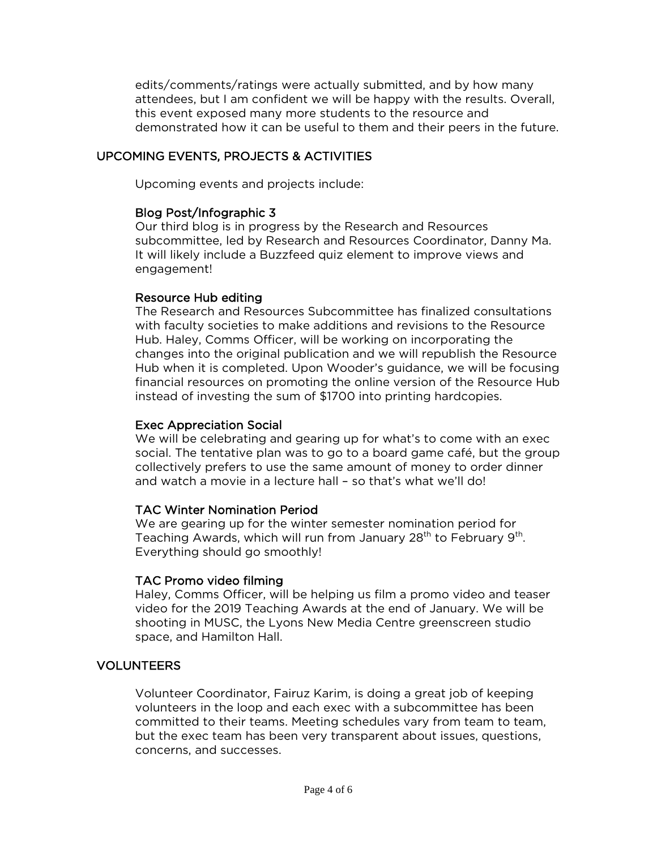edits/comments/ratings were actually submitted, and by how many attendees, but I am confident we will be happy with the results. Overall, this event exposed many more students to the resource and demonstrated how it can be useful to them and their peers in the future.

## UPCOMING EVENTS, PROJECTS & ACTIVITIES

Upcoming events and projects include:

## Blog Post/Infographic 3

Our third blog is in progress by the Research and Resources subcommittee, led by Research and Resources Coordinator, Danny Ma. It will likely include a Buzzfeed quiz element to improve views and engagement!

## Resource Hub editing

The Research and Resources Subcommittee has finalized consultations with faculty societies to make additions and revisions to the Resource Hub. Haley, Comms Officer, will be working on incorporating the changes into the original publication and we will republish the Resource Hub when it is completed. Upon Wooder's guidance, we will be focusing financial resources on promoting the online version of the Resource Hub instead of investing the sum of \$1700 into printing hardcopies.

## Exec Appreciation Social

We will be celebrating and gearing up for what's to come with an exec social. The tentative plan was to go to a board game café, but the group collectively prefers to use the same amount of money to order dinner and watch a movie in a lecture hall – so that's what we'll do!

## TAC Winter Nomination Period

We are gearing up for the winter semester nomination period for Teaching Awards, which will run from January  $28<sup>th</sup>$  to February  $9<sup>th</sup>$ . Everything should go smoothly!

## TAC Promo video filming

Haley, Comms Officer, will be helping us film a promo video and teaser video for the 2019 Teaching Awards at the end of January. We will be shooting in MUSC, the Lyons New Media Centre greenscreen studio space, and Hamilton Hall.

## VOLUNTEERS

Volunteer Coordinator, Fairuz Karim, is doing a great job of keeping volunteers in the loop and each exec with a subcommittee has been committed to their teams. Meeting schedules vary from team to team, but the exec team has been very transparent about issues, questions, concerns, and successes.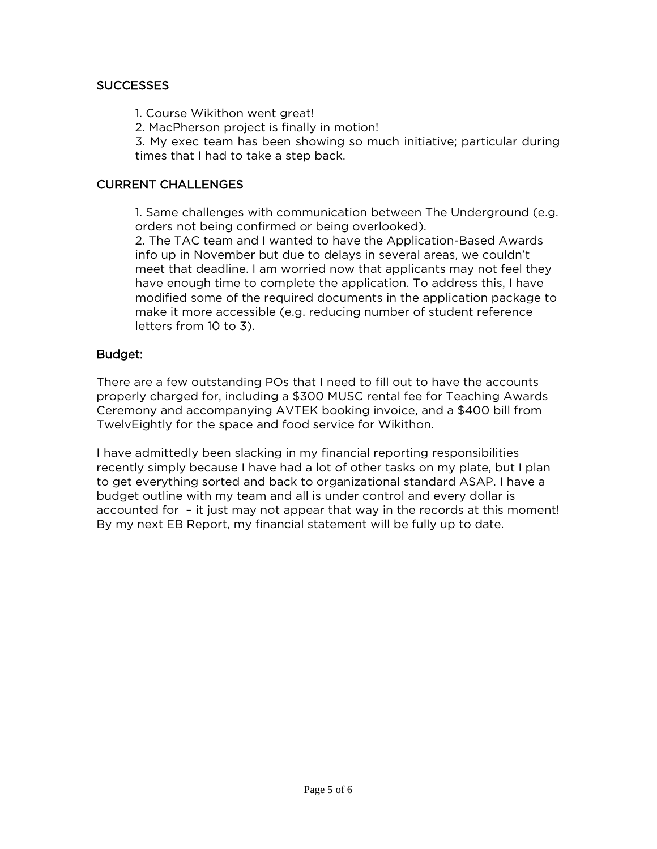## SUCCESSES

1. Course Wikithon went great!

2. MacPherson project is finally in motion!

3. My exec team has been showing so much initiative; particular during times that I had to take a step back.

## CURRENT CHALLENGES

1. Same challenges with communication between The Underground (e.g. orders not being confirmed or being overlooked).

2. The TAC team and I wanted to have the Application-Based Awards info up in November but due to delays in several areas, we couldn't meet that deadline. I am worried now that applicants may not feel they have enough time to complete the application. To address this, I have modified some of the required documents in the application package to make it more accessible (e.g. reducing number of student reference letters from 10 to 3).

## Budget:

There are a few outstanding POs that I need to fill out to have the accounts properly charged for, including a \$300 MUSC rental fee for Teaching Awards Ceremony and accompanying AVTEK booking invoice, and a \$400 bill from TwelvEightly for the space and food service for Wikithon.

I have admittedly been slacking in my financial reporting responsibilities recently simply because I have had a lot of other tasks on my plate, but I plan to get everything sorted and back to organizational standard ASAP. I have a budget outline with my team and all is under control and every dollar is accounted for – it just may not appear that way in the records at this moment! By my next EB Report, my financial statement will be fully up to date.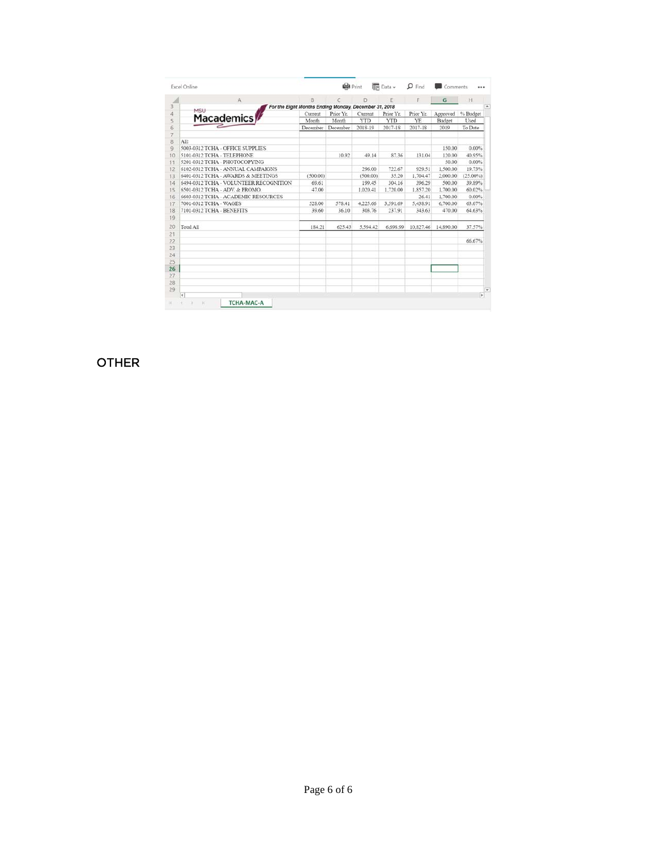| Excel Online           |                                        |                                                       | $\mathbf{Q}$ Print |          | <b>Fr</b> Data v | $\mathbf{D}$ Find | Comments  |          |
|------------------------|----------------------------------------|-------------------------------------------------------|--------------------|----------|------------------|-------------------|-----------|----------|
|                        | A                                      | B.                                                    | c                  | D        | E                | F                 | G         | H        |
| MSLI                   |                                        | For the Eight Months Ending Monday, December 31, 2018 |                    |          |                  |                   |           |          |
|                        |                                        | Current                                               | Prior Yr.          | Current  | Prior Yr.        | Prior Yr.         | Approved  | % Budget |
| <b>Macademics</b>      |                                        | Month                                                 | Month              | YTD      | <b>YTD</b>       | YE                | Budget    | Used     |
|                        |                                        | December                                              | December           | 2018-19  | 2017-18          | 2017-18           | 2019      | To Date  |
| All:                   |                                        |                                                       |                    |          |                  |                   |           |          |
|                        | 5003-0312 TCHA - OFFICE SUPPLIES       |                                                       |                    |          |                  |                   | 150.00    | 0.00%    |
|                        | 5101-0312 TCHA - TELEPHONE             |                                                       | 10.92              | 49.14    | 87.36            | 131.04            | 120.00    | 40.95%   |
|                        | 5201-0312 TCHA - PHOTOCOPYING          |                                                       |                    |          |                  |                   | 50.00     | 0.00%    |
|                        | 6102-0312 TCHA - ANNUAL CAMPAIGNS      |                                                       |                    | 296.00   | 722.67           | 929.51            | 1.500.00  | 19.73%   |
|                        | 6401-0312 TCHA - AWARDS & MEETINGS     | (500.00)                                              |                    | (500.00) | 35.20            | 1,704.47          | 2,000.00  | (25.00%) |
|                        | 6494-0312 TCHA - VOLUNTEER RECOGNITION | 69.61                                                 |                    | 199.45   | 304.16           | 396.29            | 500.00    | 39.89%   |
|                        | 6501-0312 TCHA - ADV. & PROMO.         | 47.00                                                 |                    | 1.020.41 | 1,720.00         | 1.857.20          | 1,700.00  | 60.02%   |
|                        | 6603-0312 TCHA - ACADEMIC RESOURCES    |                                                       |                    |          |                  | 26.41             | 1,700.00  | 0.00%    |
| 7001-0312 TCHA - WAGES |                                        | 528.00                                                | 578.41             | 4,225.66 | 3.591.69         | 5.438.91          | 6,700.00  | 63.07%   |
|                        | 7101-0312 TCHA - BENEFITS              | 39.60                                                 | 36.10              | 303.76   | 237.91           | 343.63            | 470.00    | 64.63%   |
|                        |                                        |                                                       |                    |          |                  |                   |           |          |
| Total All              |                                        | 184.21                                                | 625.43             | 5 594.42 | 6,698.99         | 10.827.46         | 14,890.00 | 37.57%   |
|                        |                                        |                                                       |                    |          |                  |                   |           |          |
|                        |                                        |                                                       |                    |          |                  |                   |           | 66.67%   |
|                        |                                        |                                                       |                    |          |                  |                   |           |          |
|                        |                                        |                                                       |                    |          |                  |                   |           |          |
|                        |                                        |                                                       |                    |          |                  |                   |           |          |
|                        |                                        |                                                       |                    |          |                  |                   |           |          |
|                        |                                        |                                                       |                    |          |                  |                   |           |          |
|                        |                                        |                                                       |                    |          |                  |                   |           |          |
| ×                      |                                        |                                                       |                    |          |                  |                   |           |          |

#### OTHER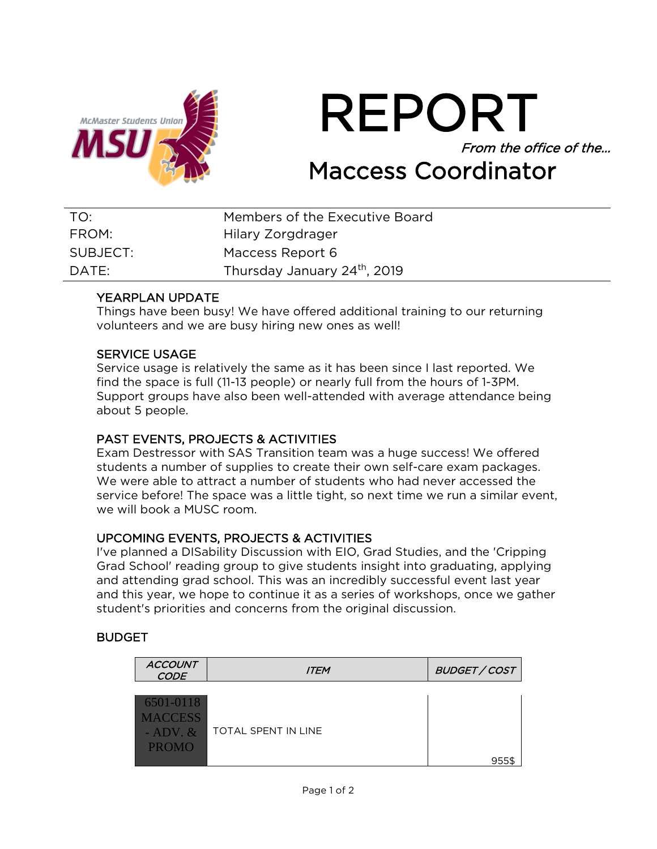

REPORT From the office of the… Maccess Coordinator

| TO:      | Members of the Executive Board           |
|----------|------------------------------------------|
| FROM:    | Hilary Zorgdrager                        |
| SUBJECT: | Maccess Report 6                         |
| DATF:    | Thursday January 24 <sup>th</sup> , 2019 |

## YEARPLAN UPDATE

Things have been busy! We have offered additional training to our returning volunteers and we are busy hiring new ones as well!

#### SERVICE USAGE

Service usage is relatively the same as it has been since I last reported. We find the space is full (11-13 people) or nearly full from the hours of 1-3PM. Support groups have also been well-attended with average attendance being about 5 people.

## PAST EVENTS, PROJECTS & ACTIVITIES

Exam Destressor with SAS Transition team was a huge success! We offered students a number of supplies to create their own self-care exam packages. We were able to attract a number of students who had never accessed the service before! The space was a little tight, so next time we run a similar event, we will book a MUSC room.

## UPCOMING EVENTS, PROJECTS & ACTIVITIES

I've planned a DISability Discussion with EIO, Grad Studies, and the 'Cripping Grad School' reading group to give students insight into graduating, applying and attending grad school. This was an incredibly successful event last year and this year, we hope to continue it as a series of workshops, once we gather student's priorities and concerns from the original discussion.

## BUDGET

| <b>ACCOUNT</b><br><b>CODE</b>                                | <b>ITEM</b>                | <b>BUDGET / COST</b> |
|--------------------------------------------------------------|----------------------------|----------------------|
| 6501-0118<br><b>MACCESS</b><br>$-$ ADV. $\&$<br><b>PROMO</b> | <b>TOTAL SPENT IN LINE</b> |                      |